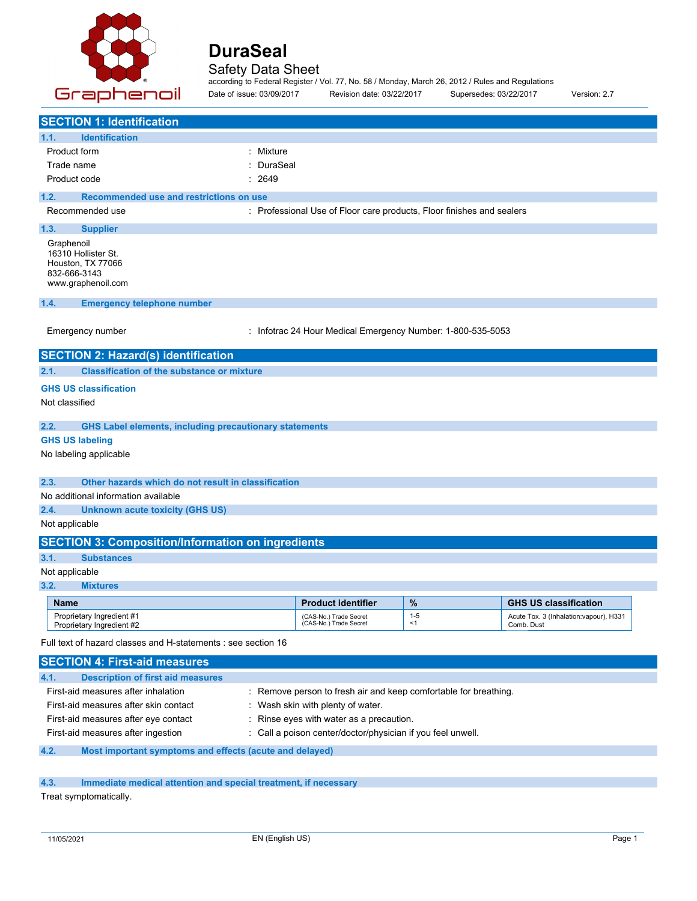

Safety Data Sheet according to Federal Register / Vol. 77, No. 58 / Monday, March 26, 2012 / Rules and Regulations

| Graphenoil                                                                                            | according to Federal Register / Vol. 77, No. 58 / Monday, March 26, 2012 / Rules and Regulations<br>Date of issue: 03/09/2017 | Revision date: 03/22/2017      | Supersedes: 03/22/2017 | Version: 2.7                                         |
|-------------------------------------------------------------------------------------------------------|-------------------------------------------------------------------------------------------------------------------------------|--------------------------------|------------------------|------------------------------------------------------|
| <b>SECTION 1: Identification</b>                                                                      |                                                                                                                               |                                |                        |                                                      |
| <b>Identification</b><br>1.1.                                                                         |                                                                                                                               |                                |                        |                                                      |
| Product form                                                                                          | : Mixture                                                                                                                     |                                |                        |                                                      |
| Trade name                                                                                            | DuraSeal                                                                                                                      |                                |                        |                                                      |
| Product code                                                                                          | 2649                                                                                                                          |                                |                        |                                                      |
| Recommended use and restrictions on use<br>1.2.                                                       |                                                                                                                               |                                |                        |                                                      |
| Recommended use                                                                                       | : Professional Use of Floor care products, Floor finishes and sealers                                                         |                                |                        |                                                      |
| 1.3.<br><b>Supplier</b>                                                                               |                                                                                                                               |                                |                        |                                                      |
| Graphenoil<br>16310 Hollister St.<br>Houston, TX 77066<br>832-666-3143<br>www.graphenoil.com          |                                                                                                                               |                                |                        |                                                      |
| 1.4.<br><b>Emergency telephone number</b>                                                             |                                                                                                                               |                                |                        |                                                      |
| Emergency number                                                                                      | : Infotrac 24 Hour Medical Emergency Number: 1-800-535-5053                                                                   |                                |                        |                                                      |
| <b>SECTION 2: Hazard(s) identification</b>                                                            |                                                                                                                               |                                |                        |                                                      |
| <b>Classification of the substance or mixture</b><br>2.1.                                             |                                                                                                                               |                                |                        |                                                      |
| <b>GHS US classification</b>                                                                          |                                                                                                                               |                                |                        |                                                      |
| Not classified                                                                                        |                                                                                                                               |                                |                        |                                                      |
| 2.2.                                                                                                  | <b>GHS Label elements, including precautionary statements</b>                                                                 |                                |                        |                                                      |
| <b>GHS US labeling</b>                                                                                |                                                                                                                               |                                |                        |                                                      |
| No labeling applicable                                                                                |                                                                                                                               |                                |                        |                                                      |
| 2.3.<br>Other hazards which do not result in classification                                           |                                                                                                                               |                                |                        |                                                      |
| No additional information available                                                                   |                                                                                                                               |                                |                        |                                                      |
| 2.4.<br><b>Unknown acute toxicity (GHS US)</b>                                                        |                                                                                                                               |                                |                        |                                                      |
| Not applicable                                                                                        |                                                                                                                               |                                |                        |                                                      |
| <b>SECTION 3: Composition/Information on ingredients</b>                                              |                                                                                                                               |                                |                        |                                                      |
| 3.1.<br><b>Substances</b>                                                                             |                                                                                                                               |                                |                        |                                                      |
| Not applicable                                                                                        |                                                                                                                               |                                |                        |                                                      |
| 3.2.<br><b>Mixtures</b>                                                                               |                                                                                                                               |                                |                        |                                                      |
| <b>Name</b>                                                                                           |                                                                                                                               | %<br><b>Product identifier</b> |                        | <b>GHS US classification</b>                         |
| Proprietary Ingredient #1<br>Proprietary Ingredient #2                                                | (CAS-No.) Trade Secret<br>(CAS-No.) Trade Secret                                                                              | $1 - 5$<br>< 1                 |                        | Acute Tox. 3 (Inhalation:vapour), H331<br>Comb. Dust |
| Full text of hazard classes and H-statements : see section 16<br><b>SECTION 4: First-aid measures</b> |                                                                                                                               |                                |                        |                                                      |

| 4.1. | <b>Description of first aid measures</b>                |                                                                  |
|------|---------------------------------------------------------|------------------------------------------------------------------|
|      | First-aid measures after inhalation                     | : Remove person to fresh air and keep comfortable for breathing. |
|      | First-aid measures after skin contact                   | : Wash skin with plenty of water.                                |
|      | First-aid measures after eye contact                    | : Rinse eyes with water as a precaution.                         |
|      | First-aid measures after ingestion                      | : Call a poison center/doctor/physician if you feel unwell.      |
| 4.2. | Most important symptoms and effects (acute and delayed) |                                                                  |

## **4.3. Immediate medical attention and special treatment, if necessary**

Treat symptomatically.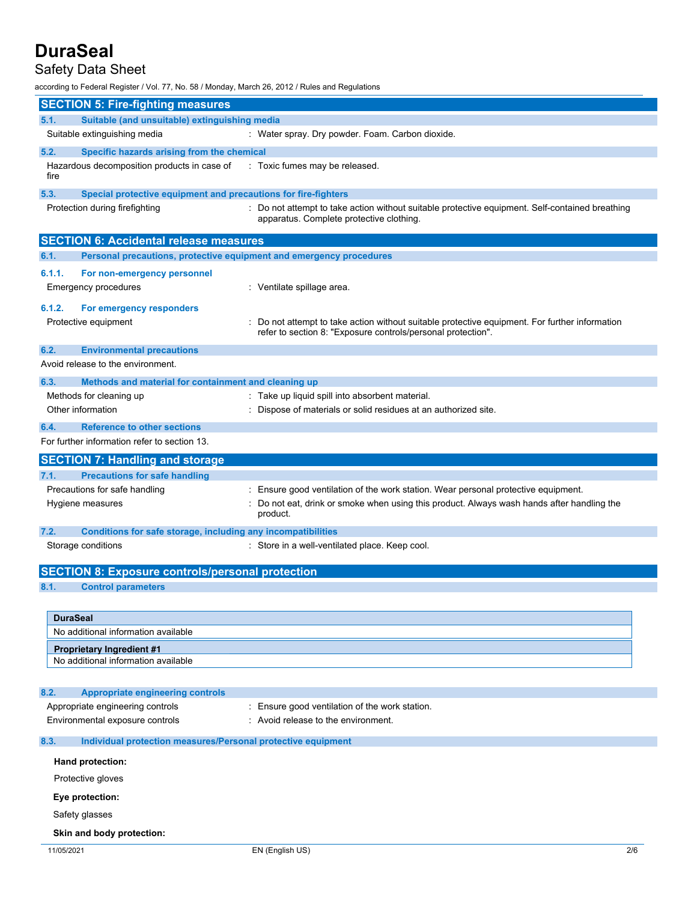## Safety Data Sheet

according to Federal Register / Vol. 77, No. 58 / Monday, March 26, 2012 / Rules and Regulations

| <b>SECTION 5: Fire-fighting measures</b>                                                   |                                                                                                                                                              |     |
|--------------------------------------------------------------------------------------------|--------------------------------------------------------------------------------------------------------------------------------------------------------------|-----|
| Suitable (and unsuitable) extinguishing media<br>5.1.                                      |                                                                                                                                                              |     |
| Suitable extinguishing media                                                               | : Water spray. Dry powder. Foam. Carbon dioxide.                                                                                                             |     |
| 5.2.<br>Specific hazards arising from the chemical                                         |                                                                                                                                                              |     |
| Hazardous decomposition products in case of<br>fire                                        | : Toxic fumes may be released.                                                                                                                               |     |
| 5.3.<br>Special protective equipment and precautions for fire-fighters                     |                                                                                                                                                              |     |
| Protection during firefighting                                                             | : Do not attempt to take action without suitable protective equipment. Self-contained breathing<br>apparatus. Complete protective clothing.                  |     |
| <b>SECTION 6: Accidental release measures</b>                                              |                                                                                                                                                              |     |
| Personal precautions, protective equipment and emergency procedures<br>6.1.                |                                                                                                                                                              |     |
| 6.1.1.<br>For non-emergency personnel<br>Emergency procedures                              | : Ventilate spillage area.                                                                                                                                   |     |
| 6.1.2.<br>For emergency responders                                                         |                                                                                                                                                              |     |
| Protective equipment                                                                       | Do not attempt to take action without suitable protective equipment. For further information<br>refer to section 8: "Exposure controls/personal protection". |     |
| 6.2.<br><b>Environmental precautions</b>                                                   |                                                                                                                                                              |     |
| Avoid release to the environment.                                                          |                                                                                                                                                              |     |
| 6.3.<br>Methods and material for containment and cleaning up                               |                                                                                                                                                              |     |
| Methods for cleaning up<br>Other information                                               | : Take up liquid spill into absorbent material.                                                                                                              |     |
|                                                                                            | Dispose of materials or solid residues at an authorized site.                                                                                                |     |
| <b>Reference to other sections</b><br>6.4.<br>For further information refer to section 13. |                                                                                                                                                              |     |
|                                                                                            |                                                                                                                                                              |     |
| <b>SECTION 7: Handling and storage</b>                                                     |                                                                                                                                                              |     |
| <b>Precautions for safe handling</b><br>7.1.<br>Precautions for safe handling              | Ensure good ventilation of the work station. Wear personal protective equipment.                                                                             |     |
| Hygiene measures                                                                           | Do not eat, drink or smoke when using this product. Always wash hands after handling the<br>product.                                                         |     |
| 7.2.<br>Conditions for safe storage, including any incompatibilities                       |                                                                                                                                                              |     |
| Storage conditions                                                                         | : Store in a well-ventilated place. Keep cool.                                                                                                               |     |
| <b>SECTION 8: Exposure controls/personal protection</b>                                    |                                                                                                                                                              |     |
| 8.1.<br><b>Control parameters</b>                                                          |                                                                                                                                                              |     |
| <b>DuraSeal</b>                                                                            |                                                                                                                                                              |     |
| No additional information available                                                        |                                                                                                                                                              |     |
| <b>Proprietary Ingredient #1</b><br>No additional information available                    |                                                                                                                                                              |     |
| 8.2.<br><b>Appropriate engineering controls</b>                                            |                                                                                                                                                              |     |
| Appropriate engineering controls                                                           | : Ensure good ventilation of the work station.                                                                                                               |     |
| Environmental exposure controls                                                            | : Avoid release to the environment.                                                                                                                          |     |
| 8.3.<br>Individual protection measures/Personal protective equipment                       |                                                                                                                                                              |     |
| Hand protection:                                                                           |                                                                                                                                                              |     |
| Protective gloves                                                                          |                                                                                                                                                              |     |
| Eye protection:                                                                            |                                                                                                                                                              |     |
| Safety glasses                                                                             |                                                                                                                                                              |     |
| Skin and body protection:                                                                  |                                                                                                                                                              |     |
| 11/05/2021                                                                                 | EN (English US)                                                                                                                                              | 2/6 |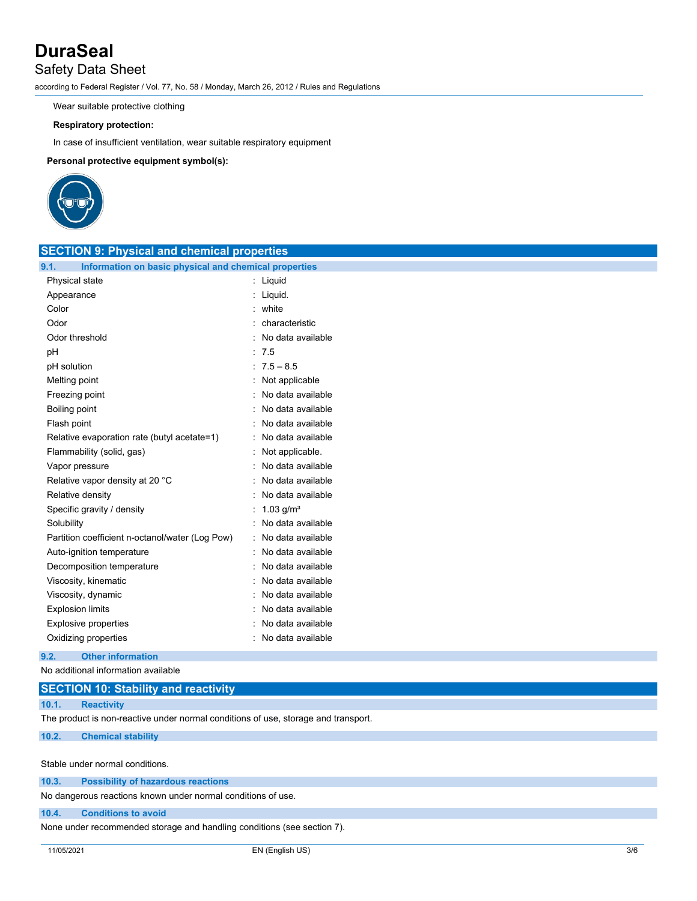## Safety Data Sheet

according to Federal Register / Vol. 77, No. 58 / Monday, March 26, 2012 / Rules and Regulations

Wear suitable protective clothing

### **Respiratory protection:**

In case of insufficient ventilation, wear suitable respiratory equipment

**Personal protective equipment symbol(s):**



| <b>SECTION 9: Physical and chemical properties</b>            |                           |  |
|---------------------------------------------------------------|---------------------------|--|
| 9.1.<br>Information on basic physical and chemical properties |                           |  |
| Physical state                                                | : Liquid                  |  |
| Appearance                                                    | : Liquid.                 |  |
| Color                                                         | : white                   |  |
| Odor                                                          | characteristic            |  |
| Odor threshold                                                | : No data available       |  |
| pH                                                            | : 7.5                     |  |
| pH solution                                                   | $: 7.5 - 8.5$             |  |
| Melting point                                                 | : Not applicable          |  |
| Freezing point                                                | No data available         |  |
| Boiling point                                                 | : No data available       |  |
| Flash point                                                   | : No data available       |  |
| Relative evaporation rate (butyl acetate=1)                   | No data available         |  |
| Flammability (solid, gas)                                     | : Not applicable.         |  |
| Vapor pressure                                                | : No data available       |  |
| Relative vapor density at 20 °C                               | No data available         |  |
| Relative density                                              | : No data available       |  |
| Specific gravity / density                                    | : $1.03$ g/m <sup>3</sup> |  |
| Solubility                                                    | : No data available       |  |
| Partition coefficient n-octanol/water (Log Pow)               | : No data available       |  |
| Auto-ignition temperature                                     | : No data available       |  |
| Decomposition temperature                                     | : No data available       |  |
| Viscosity, kinematic                                          | : No data available       |  |
| Viscosity, dynamic                                            | No data available         |  |
| <b>Explosion limits</b>                                       | No data available         |  |
| Explosive properties                                          | : No data available       |  |
| Oxidizing properties                                          | : No data available       |  |

### **9.2. Other information**

No additional information available

**10.1. Reactivity**

The product is non-reactive under normal conditions of use, storage and transport.

### **10.2. Chemical stability**

Stable under normal conditions.

| 10.3.<br><b>Possibility of hazardous reactions</b> |
|----------------------------------------------------|
|----------------------------------------------------|

No dangerous reactions known under normal conditions of use.

### **10.4. Conditions to avoid**

None under recommended storage and handling conditions (see section 7).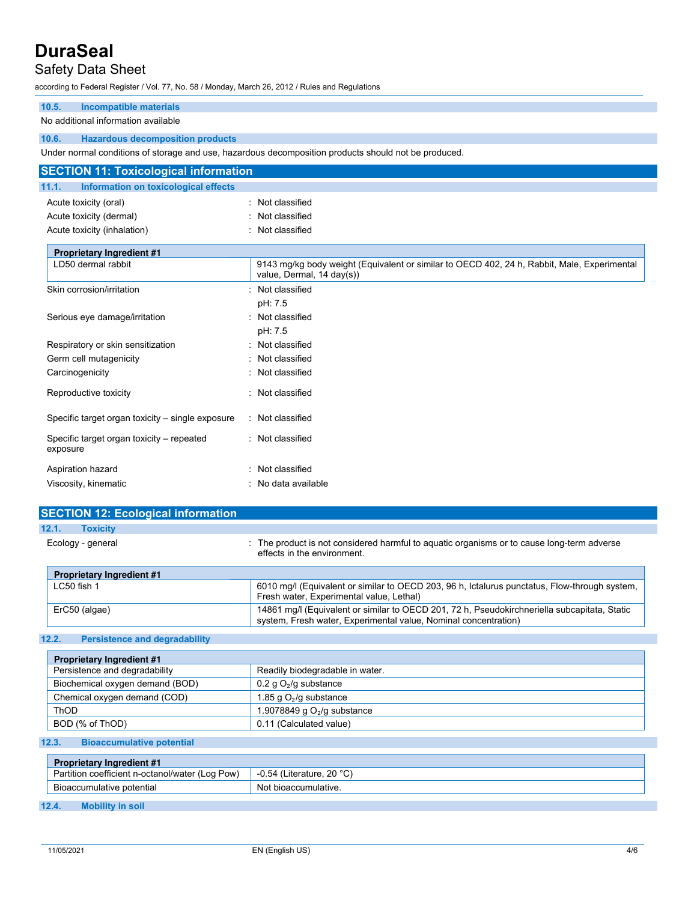## Safety Data Sheet

according to Federal Register / Vol. 77, No. 58 / Monday, March 26, 2012 / Rules and Regulations

## **10.5. Incompatible materials**

#### No additional information available

#### **10.6. Hazardous decomposition products**

Under normal conditions of storage and use, hazardous decomposition products should not be produced.

| <b>SECTION 11: Toxicological information</b>          |                                                                                                                          |
|-------------------------------------------------------|--------------------------------------------------------------------------------------------------------------------------|
| 11.1.<br>Information on toxicological effects         |                                                                                                                          |
| Acute toxicity (oral)<br>Acute toxicity (dermal)      | : Not classified<br>Not classified                                                                                       |
| Acute toxicity (inhalation)                           | Not classified                                                                                                           |
| <b>Proprietary Ingredient #1</b>                      |                                                                                                                          |
| LD50 dermal rabbit                                    | 9143 mg/kg body weight (Equivalent or similar to OECD 402, 24 h, Rabbit, Male, Experimental<br>value, Dermal, 14 day(s)) |
| Skin corrosion/irritation                             | Not classified<br>pH: 7.5                                                                                                |
| Serious eye damage/irritation                         | Not classified<br>pH: 7.5                                                                                                |
| Respiratory or skin sensitization                     | Not classified                                                                                                           |
| Germ cell mutagenicity                                | Not classified                                                                                                           |
| Carcinogenicity                                       | Not classified                                                                                                           |
| Reproductive toxicity                                 | Not classified                                                                                                           |
| Specific target organ toxicity – single exposure      | Not classified                                                                                                           |
| Specific target organ toxicity – repeated<br>exposure | : Not classified                                                                                                         |
| Aspiration hazard                                     | Not classified                                                                                                           |
| Viscosity, kinematic                                  | No data available                                                                                                        |

| <b>SECTION 12: Ecological information</b> |                                                                                                                                                                 |
|-------------------------------------------|-----------------------------------------------------------------------------------------------------------------------------------------------------------------|
| 12.1.<br><b>Toxicity</b>                  |                                                                                                                                                                 |
| Ecology - general                         | : The product is not considered harmful to aquatic organisms or to cause long-term adverse<br>effects in the environment.                                       |
| <b>Proprietary Ingredient #1</b>          |                                                                                                                                                                 |
| $LC50$ fish 1                             | 6010 mg/l (Equivalent or similar to OECD 203, 96 h, Ictalurus punctatus, Flow-through system,<br>Fresh water, Experimental value, Lethal)                       |
| ErC50 (algae)                             | 14861 mg/l (Equivalent or similar to OECD 201, 72 h, Pseudokirchneriella subcapitata, Static<br>system, Fresh water, Experimental value, Nominal concentration) |

### **12.2. Persistence and degradability**

| <b>Proprietary Ingredient #1</b> |                                 |
|----------------------------------|---------------------------------|
| Persistence and degradability    | Readily biodegradable in water. |
| Biochemical oxygen demand (BOD)  | 0.2 g $O_2$ /g substance        |
| Chemical oxygen demand (COD)     | 1.85 g $O_2$ /g substance       |
| ThOD                             | 1.9078849 g $O2/g$ substance    |
| BOD (% of ThOD)                  | 0.11 (Calculated value)         |

#### **12.3. Bioaccumulative potential**

| <b>Proprietary Ingredient #1</b>                |                                  |
|-------------------------------------------------|----------------------------------|
| Partition coefficient n-octanol/water (Log Pow) | $\sim$ -0.54 (Literature, 20 °C) |
| Bioaccumulative potential                       | Not bioaccumulative.             |

#### **12.4. Mobility in soil**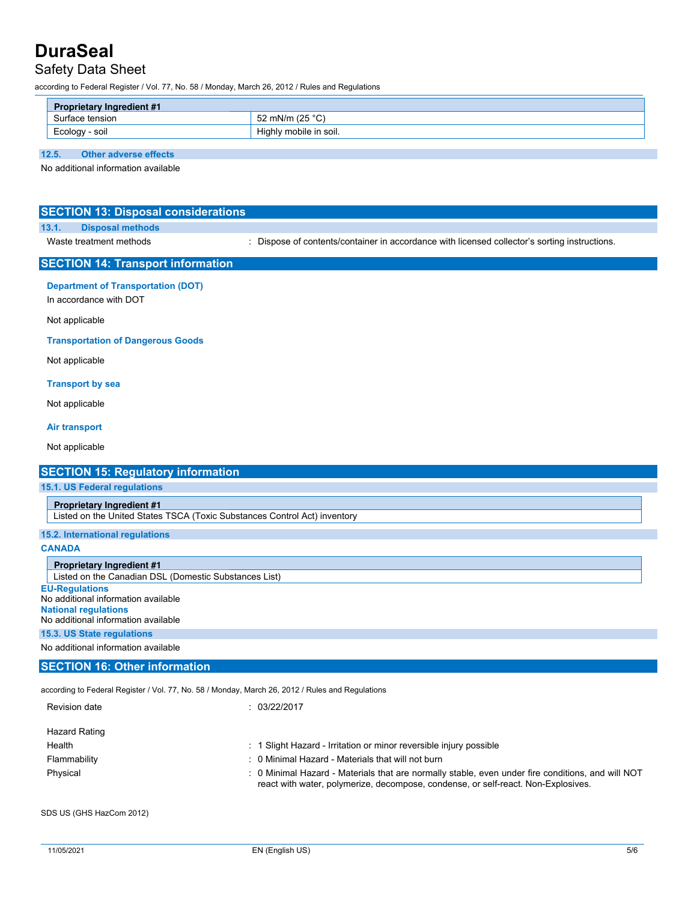## Safety Data Sheet

according to Federal Register / Vol. 77, No. 58 / Monday, March 26, 2012 / Rules and Regulations

| <b>Proprietary Ingredient #1</b> |                        |
|----------------------------------|------------------------|
| rface tension.                   | . ∨^° 25) mN/m /25 _   |
| Ecology<br>soil                  | Highly mobile in soil. |

### **12.5. Other adverse effects**

No additional information available

| <b>SECTION 13: Disposal considerations</b>                                                                                         |                                                                                               |
|------------------------------------------------------------------------------------------------------------------------------------|-----------------------------------------------------------------------------------------------|
| 13.1.<br><b>Disposal methods</b>                                                                                                   |                                                                                               |
| Waste treatment methods                                                                                                            | : Dispose of contents/container in accordance with licensed collector's sorting instructions. |
| <b>SECTION 14: Transport information</b>                                                                                           |                                                                                               |
| <b>Department of Transportation (DOT)</b><br>In accordance with DOT                                                                |                                                                                               |
| Not applicable                                                                                                                     |                                                                                               |
| <b>Transportation of Dangerous Goods</b>                                                                                           |                                                                                               |
| Not applicable                                                                                                                     |                                                                                               |
| <b>Transport by sea</b>                                                                                                            |                                                                                               |
| Not applicable                                                                                                                     |                                                                                               |
| <b>Air transport</b>                                                                                                               |                                                                                               |
| Not applicable                                                                                                                     |                                                                                               |
| <b>SECTION 15: Regulatory information</b>                                                                                          |                                                                                               |
| 15.1. US Federal regulations                                                                                                       |                                                                                               |
| <b>Proprietary Ingredient #1</b>                                                                                                   |                                                                                               |
| Listed on the United States TSCA (Toxic Substances Control Act) inventory                                                          |                                                                                               |
| 15.2. International regulations                                                                                                    |                                                                                               |
| <b>CANADA</b>                                                                                                                      |                                                                                               |
| <b>Proprietary Ingredient #1</b><br>Listed on the Canadian DSL (Domestic Substances List)                                          |                                                                                               |
| <b>EU-Regulations</b><br>No additional information available<br><b>National regulations</b><br>No additional information available |                                                                                               |
| 15.3. US State regulations                                                                                                         |                                                                                               |
| No additional information available                                                                                                |                                                                                               |
| <b>SECTION 16: Other information</b>                                                                                               |                                                                                               |
| according to Federal Register / Vol. 77, No. 58 / Monday, March 26, 2012 / Rules and Regulations                                   |                                                                                               |
| Revision date                                                                                                                      | : 03/22/2017                                                                                  |
| <b>Hazard Rating</b>                                                                                                               |                                                                                               |

| Health       | : 1 Slight Hazard - Irritation or minor reversible injury possible                                                                                                                     |
|--------------|----------------------------------------------------------------------------------------------------------------------------------------------------------------------------------------|
| Flammability | : 0 Minimal Hazard - Materials that will not burn                                                                                                                                      |
| Physical     | : 0 Minimal Hazard - Materials that are normally stable, even under fire conditions, and will NOT<br>react with water, polymerize, decompose, condense, or self-react. Non-Explosives. |

SDS US (GHS HazCom 2012)